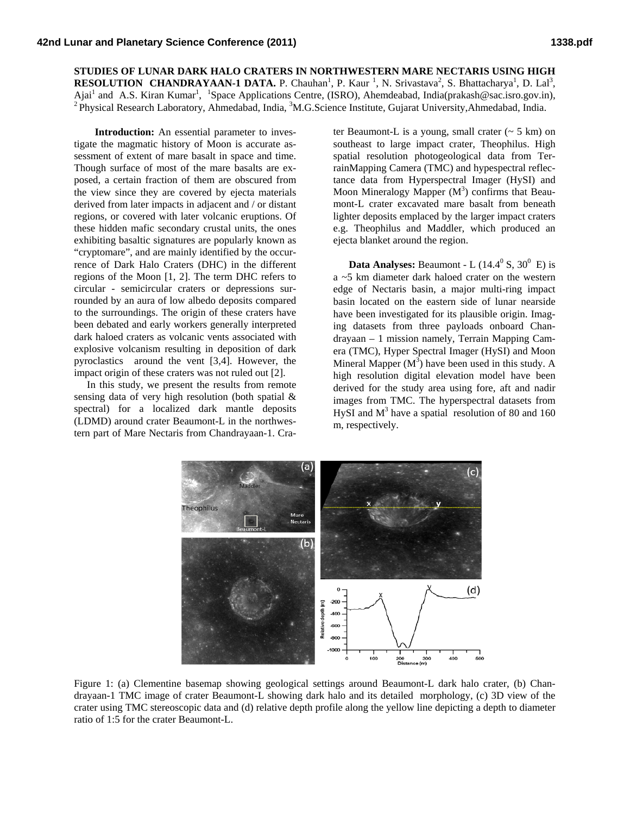**STUDIES OF LUNAR DARK HALO CRATERS IN NORTHWESTERN MARE NECTARIS USING HIGH RESOLUTION CHANDRAYAAN-1 DATA.** P. Chauhan<sup>1</sup>, P. Kaur<sup>1</sup>, N. Srivastava<sup>2</sup>, S. Bhattacharya<sup>1</sup>, D. Lal<sup>3</sup>, Ajai<sup>1</sup> and A.S. Kiran Kumar<sup>1</sup>, <sup>1</sup> Ajai<sup>1</sup> and A.S. Kiran Kumar<sup>1</sup>, <sup>1</sup>Space Applications Centre, (ISRO), Ahemdeabad, India(prakash@sac.isro.gov.in), <sup>2</sup> Physical Research Laboratory, Ahmedabad, India.

 **Introduction:** An essential parameter to investigate the magmatic history of Moon is accurate assessment of extent of mare basalt in space and time. Though surface of most of the mare basalts are exposed, a certain fraction of them are obscured from the view since they are covered by ejecta materials derived from later impacts in adjacent and / or distant regions, or covered with later volcanic eruptions. Of these hidden mafic secondary crustal units, the ones exhibiting basaltic signatures are popularly known as "cryptomare", and are mainly identified by the occurrence of Dark Halo Craters (DHC) in the different regions of the Moon [1, 2]. The term DHC refers to circular - semicircular craters or depressions surrounded by an aura of low albedo deposits compared to the surroundings. The origin of these craters have been debated and early workers generally interpreted dark haloed craters as volcanic vents associated with explosive volcanism resulting in deposition of dark pyroclastics around the vent [3,4]. However, the impact origin of these craters was not ruled out [2].

 In this study, we present the results from remote sensing data of very high resolution (both spatial & spectral) for a localized dark mantle deposits (LDMD) around crater Beaumont-L in the northwestern part of Mare Nectaris from Chandrayaan-1. Crater Beaumont-L is a young, small crater  $($   $>$  5 km) on southeast to large impact crater. Theophilus. High spatial resolution photogeological data from TerrainMapping Camera (TMC) and hypespectral reflectance data from Hyperspectral Imager (HySI) and Moon Mineralogy Mapper  $(M^3)$  confirms that Beaumont-L crater excavated mare basalt from beneath lighter deposits emplaced by the larger impact craters e.g. Theophilus and Maddler, which produced an ejecta blanket around the region.

**Data Analyses:** Beaumont - L  $(14.4^{\circ} S, 30^{\circ} E)$  is a ~5 km diameter dark haloed crater on the western edge of Nectaris basin, a major multi-ring impact basin located on the eastern side of lunar nearside have been investigated for its plausible origin. Imaging datasets from three payloads onboard Chandrayaan – 1 mission namely, Terrain Mapping Camera (TMC), Hyper Spectral Imager (HySI) and Moon Mineral Mapper  $(M^3)$  have been used in this study. A high resolution digital elevation model have been derived for the study area using fore, aft and nadir images from TMC. The hyperspectral datasets from HySI and  $M<sup>3</sup>$  have a spatial resolution of 80 and 160 m, respectively.



Figure 1: (a) Clementine basemap showing geological settings around Beaumont-L dark halo crater, (b) Chandrayaan-1 TMC image of crater Beaumont-L showing dark halo and its detailed morphology, (c) 3D view of the crater using TMC stereoscopic data and (d) relative depth profile along the yellow line depicting a depth to diameter ratio of 1:5 for the crater Beaumont-L.